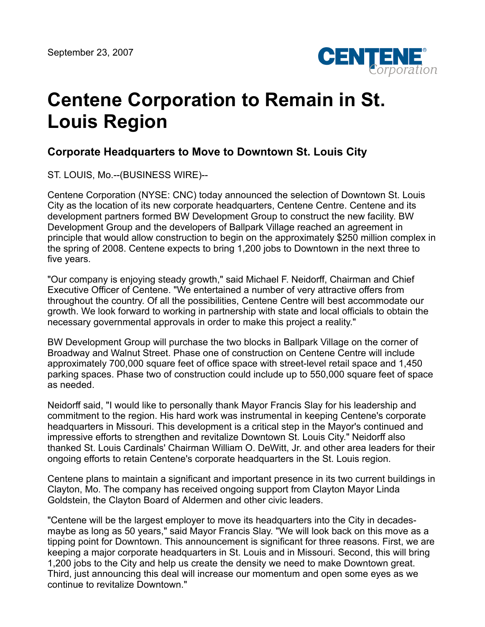

## **Centene Corporation to Remain in St. Louis Region**

## **Corporate Headquarters to Move to Downtown St. Louis City**

ST. LOUIS, Mo.--(BUSINESS WIRE)--

Centene Corporation (NYSE: CNC) today announced the selection of Downtown St. Louis City as the location of its new corporate headquarters, Centene Centre. Centene and its development partners formed BW Development Group to construct the new facility. BW Development Group and the developers of Ballpark Village reached an agreement in principle that would allow construction to begin on the approximately \$250 million complex in the spring of 2008. Centene expects to bring 1,200 jobs to Downtown in the next three to five years.

"Our company is enjoying steady growth," said Michael F. Neidorff, Chairman and Chief Executive Officer of Centene. "We entertained a number of very attractive offers from throughout the country. Of all the possibilities, Centene Centre will best accommodate our growth. We look forward to working in partnership with state and local officials to obtain the necessary governmental approvals in order to make this project a reality."

BW Development Group will purchase the two blocks in Ballpark Village on the corner of Broadway and Walnut Street. Phase one of construction on Centene Centre will include approximately 700,000 square feet of office space with street-level retail space and 1,450 parking spaces. Phase two of construction could include up to 550,000 square feet of space as needed.

Neidorff said, "I would like to personally thank Mayor Francis Slay for his leadership and commitment to the region. His hard work was instrumental in keeping Centene's corporate headquarters in Missouri. This development is a critical step in the Mayor's continued and impressive efforts to strengthen and revitalize Downtown St. Louis City." Neidorff also thanked St. Louis Cardinals' Chairman William O. DeWitt, Jr. and other area leaders for their ongoing efforts to retain Centene's corporate headquarters in the St. Louis region.

Centene plans to maintain a significant and important presence in its two current buildings in Clayton, Mo. The company has received ongoing support from Clayton Mayor Linda Goldstein, the Clayton Board of Aldermen and other civic leaders.

"Centene will be the largest employer to move its headquarters into the City in decadesmaybe as long as 50 years," said Mayor Francis Slay. "We will look back on this move as a tipping point for Downtown. This announcement is significant for three reasons. First, we are keeping a major corporate headquarters in St. Louis and in Missouri. Second, this will bring 1,200 jobs to the City and help us create the density we need to make Downtown great. Third, just announcing this deal will increase our momentum and open some eyes as we continue to revitalize Downtown."